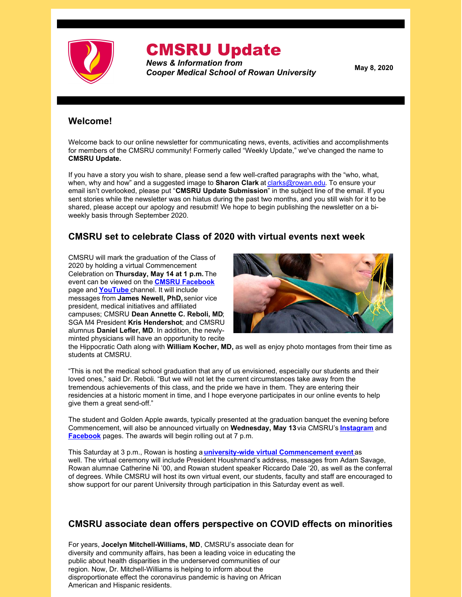

# CMSRU Update

*News & Information from Cooper Medical School of Rowan University*

**May 8, 2020**

# **Welcome!**

Welcome back to our online newsletter for communicating news, events, activities and accomplishments for members of the CMSRU community! Formerly called "Weekly Update," we've changed the name to **CMSRU Update.**

If you have a story you wish to share, please send a few well-crafted paragraphs with the "who, what, when, why and how" and a suggested image to **Sharon Clark** at [clarks@rowan.edu](mailto:clarks@rowan.edu). To ensure your email isn't overlooked, please put "**CMSRU Update Submission**" in the subject line of the email. If you sent stories while the newsletter was on hiatus during the past two months, and you still wish for it to be shared, please accept our apology and resubmit! We hope to begin publishing the newsletter on a biweekly basis through September 2020.

# **CMSRU set to celebrate Class of 2020 with virtual events next week**

CMSRU will mark the graduation of the Class of 2020 by holding a virtual Commencement Celebration on **Thursday, May 14 at 1 p.m.**The event can be viewed on the **CMSRU [Facebook](https://www.facebook.com/coopermedschool/)** page and **[YouTube](https://www.youtube.com/user/CMSRUNJ)** channel. It will include messages from **James Newell, PhD,**senior vice president, medical initiatives and affiliated campuses; CMSRU **Dean Annette C. Reboli, MD**; SGA M4 President **Kris Hendershot**; and CMSRU alumnus **Daniel Lefler, MD**. In addition, the newlyminted physicians will have an opportunity to recite



the Hippocratic Oath along with **William Kocher, MD,** as well as enjoy photo montages from their time as students at CMSRU.

"This is not the medical school graduation that any of us envisioned, especially our students and their loved ones," said Dr. Reboli. "But we will not let the current circumstances take away from the tremendous achievements of this class, and the pride we have in them. They are entering their residencies at a historic moment in time, and I hope everyone participates in our online events to help give them a great send-off."

The student and Golden Apple awards, typically presented at the graduation banquet the evening before Commencement, will also be announced virtually on **Wednesday, May 13** via CMSRU's **[Instagram](https://www.instagram.com/cmsru/)** and **[Facebook](https://www.facebook.com/coopermedschool/)** pages. The awards will begin rolling out at 7 p.m.

This Saturday at 3 p.m., Rowan is hosting a **university-wide virtual [Commencement](https://sites.rowan.edu/commencement2020/) event** as well. The virtual ceremony will include President Houshmand's address, messages from Adam Savage, Rowan alumnae Catherine Ni '00, and Rowan student speaker Riccardo Dale '20, as well as the conferral of degrees. While CMSRU will host its own virtual event, our students, faculty and staff are encouraged to show support for our parent University through participation in this Saturday event as well.

## **CMSRU associate dean offers perspective on COVID effects on minorities**

For years, **Jocelyn Mitchell-Williams, MD**, CMSRU's associate dean for diversity and community affairs, has been a leading voice in educating the public about health disparities in the underserved communities of our region. Now, Dr. Mitchell-Williams is helping to inform about the disproportionate effect the coronavirus pandemic is having on African American and Hispanic residents.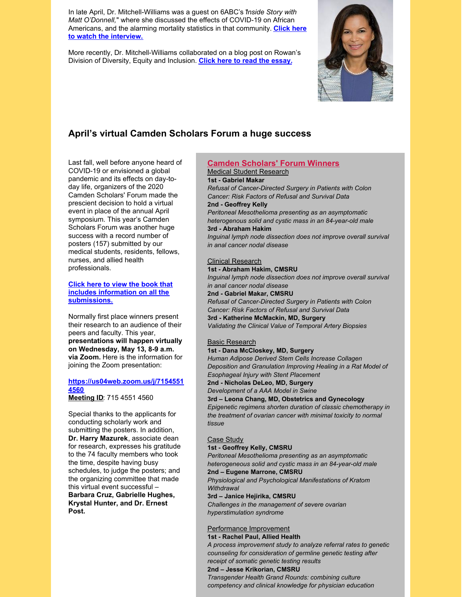In late April, Dr. Mitchell-Williams was a guest on 6ABC's "*Inside Story with Matt O'Donnell,*" where she discussed the effects of COVID-19 on African Americans, and the alarming mortality statistics in that [community.](https://6abc.com/6abcs-inside-story-dr-jocelyn-mitchell-williams-chad-dion-lassiter-coronavirus-death-stats/6110615/) **Click here to watch the interview.**

More recently, Dr. Mitchell-Williams collaborated on a blog post on Rowan's Division of Diversity, Equity and Inclusion. **Click here to read the [essay.](https://rowandei.wordpress.com/category/dei-prof-spectives/)**



# **April's virtual Camden Scholars Forum a huge success**

Last fall, well before anyone heard of COVID-19 or envisioned a global pandemic and its effects on day-today life, organizers of the 2020 Camden Scholars' Forum made the prescient decision to hold a virtual event in place of the annual April symposium. This year's Camden Scholars Forum was another huge success with a record number of posters (157) submitted by our medical students, residents, fellows, nurses, and allied health professionals.

**Click here to view the book that includes information on all the [submissions.](https://www.dropbox.com/s/jqvwzhv00fbae65/CSF 2020 Virtual Book.pdf?dl=0)**

Normally first place winners present their research to an audience of their peers and faculty. This year, **presentations will happen virtually on Wednesday, May 13, 8-9 a.m. via Zoom.** Here is the information for joining the Zoom presentation:

#### **[https://us04web.zoom.us/j/7154551](https://us04web.zoom.us/j/71545514560) 4560**

**Meeting ID**: 715 4551 4560

Special thanks to the applicants for conducting scholarly work and submitting the posters. In addition, **Dr. Harry Mazurek**, associate dean for research, expresses his gratitude to the 74 faculty members who took the time, despite having busy schedules, to judge the posters; and the organizing committee that made this virtual event successful – **Barbara Cruz, Gabrielle Hughes, Krystal Hunter, and Dr. Ernest Post.**

#### **Camden Scholars' Forum Winners** Medical Student Research

**1st - Gabriel Makar**

*Refusal of Cancer-Directed Surgery in Patients with Colon Cancer: Risk Factors of Refusal and Survival Data* **2nd - Geoffrey Kelly**

*Peritoneal Mesothelioma presenting as an asymptomatic heterogenous solid and cystic mass in an 84-year-old male*

#### **3rd - Abraham Hakim**

*Inguinal lymph node dissection does not improve overall survival in anal cancer nodal disease*

#### Clinical Research

**1st - Abraham Hakim, CMSRU** *Inguinal lymph node dissection does not improve overall survival in anal cancer nodal disease* **2nd - Gabriel Makar, CMSRU** *Refusal of Cancer-Directed Surgery in Patients with Colon Cancer: Risk Factors of Refusal and Survival Data* **3rd - Katherine McMackin, MD, Surgery** *Validating the Clinical Value of Temporal Artery Biopsies*

#### Basic Research

**1st - Dana McCloskey, MD, Surgery** *Human Adipose Derived Stem Cells Increase Collagen Deposition and Granulation Improving Healing in a Rat Model of Esophageal Injury with Stent Placement*

**2nd - Nicholas DeLeo, MD, Surgery**

*Development of a AAA Model in Swine*

**3rd – Leona Chang, MD, Obstetrics and Gynecology** *Epigenetic regimens shorten duration of classic chemotherapy in the treatment of ovarian cancer with minimal toxicity to normal tissue*

#### Case Study

**1st - Geoffrey Kelly, CMSRU** *Peritoneal Mesothelioma presenting as an asymptomatic heterogeneous solid and cystic mass in an 84-year-old male* **2nd – Eugene Marrone, CMSRU** *Physiological and Psychological Manifestations of Kratom Withdrawal* **3rd – Janice Hejirika, CMSRU** *Challenges in the management of severe ovarian hyperstimulation syndrome*

#### Performance Improvement

**1st - Rachel Paul, Allied Health**

*A process improvement study to analyze referral rates to genetic counseling for consideration of germline genetic testing after receipt of somatic genetic testing results* **2nd – Jesse Krikorian, CMSRU**

*Transgender Health Grand Rounds: combining culture competency and clinical knowledge for physician education*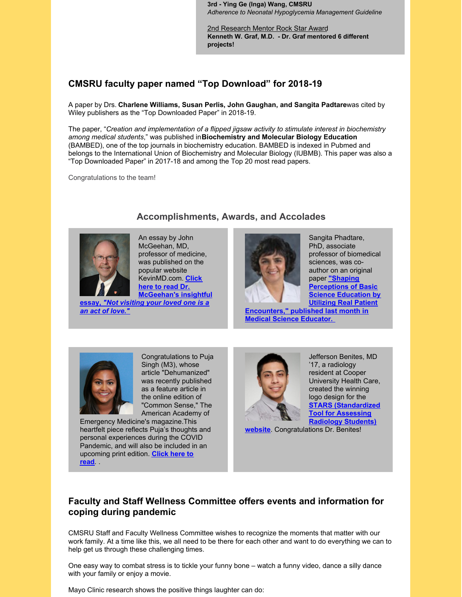**3rd - Ying Ge (Inga) Wang, CMSRU** *Adherence to Neonatal Hypoglycemia Management Guideline*

2nd Research Mentor Rock Star Award **Kenneth W. Graf, M.D. - Dr. Graf mentored 6 different projects!**

# **CMSRU faculty paper named "Top Download" for 2018-19**

A paper by Drs. **Charlene Williams, Susan Perlis, John Gaughan, and Sangita Padtare**was cited by Wiley publishers as the "Top Downloaded Paper" in 2018-19.

The paper, "*Creation and implementation of a flipped jigsaw activity to stimulate interest in biochemistry among medical students*," was published in**Biochemistry and Molecular Biology Education** (BAMBED), one of the top journals in biochemistry education. BAMBED is indexed in Pubmed and belongs to the International Union of Biochemistry and Molecular Biology (IUBMB). This paper was also a "Top Downloaded Paper" in 2017-18 and among the Top 20 most read papers.

**Accomplishments, Awards, and Accolades**

Congratulations to the team!



An essay by John McGeehan, MD, professor of medicine, was published on the popular website [KevinMD.com.](https://www.kevinmd.com/blog/2020/05/not-visiting-your-loved-one-in-the-hospital-is-an-act-of-love.html) **Click here to read Dr. McGeehan's insightful**

**essay,** *"Not [visiting](https://www.kevinmd.com/blog/2020/05/not-visiting-your-loved-one-in-the-hospital-is-an-act-of-love.html) your loved one is a an act of love."*



Sangita Phadtare, PhD, associate professor of biomedical sciences, was coauthor on an original paper **"Shaping Perceptions of Basic Science Education by Utilizing Real Patient**

**[Encounters,"](https://link.springer.com/article/10.1007/s40670-020-00951-y) published last month in Medical Science Educator.**



Congratulations to Puja Singh (M3), whose article "Dehumanized" was recently published as a feature article in the online edition of "Common Sense," The American Academy of

Emergency Medicine's magazine.This heartfelt piece reflects Puja's thoughts and personal experiences during the COVID Pandemic, and will also be included in an [upcoming](https://www.aaem.org/resources/publications/common-sense/issues/featured-articles/dehumanized) print edition. **Click here to read**. .



Jefferson Benites, MD '17, a radiology resident at Cooper University Health Care, created the winning logo design for the **STARS [\(Standardized](https://amser.knack.com/stars#home/institutional-sign-up-for-stars/) Tool for Assessing Radiology Students)**

**website**. Congratulations Dr. Benites!

## **Faculty and Staff Wellness Committee offers events and information for coping during pandemic**

CMSRU Staff and Faculty Wellness Committee wishes to recognize the moments that matter with our work family. At a time like this, we all need to be there for each other and want to do everything we can to help get us through these challenging times.

One easy way to combat stress is to tickle your funny bone – watch a funny video, dance a silly dance with your family or enjoy a movie.

Mayo Clinic research shows the positive things laughter can do: